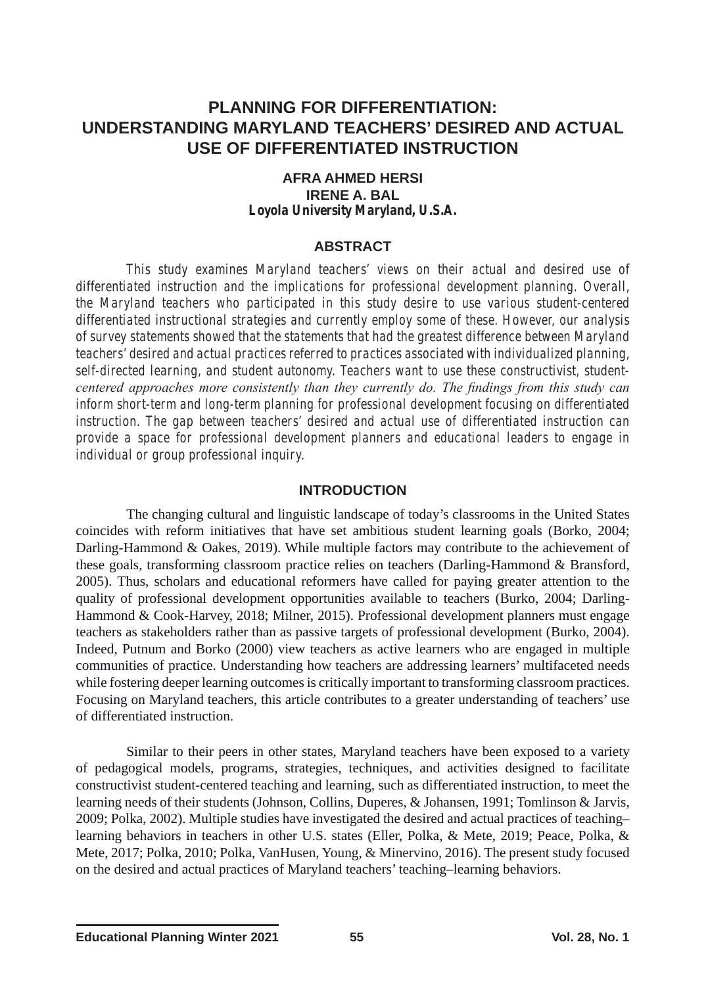# **PLANNING FOR DIFFERENTIATION: UNDERSTANDING MARYLAND TEACHERS' DESIRED AND ACTUAL USE OF DIFFERENTIATED INSTRUCTION**

#### **AFRA AHMED HERSI IRENE A. BAL** *Loyola University Maryland, U.S.A.*

## **ABSTRACT**

*This study examines Maryland teachers' views on their actual and desired use of differentiated instruction and the implications for professional development planning. Overall, the Maryland teachers who participated in this study desire to use various student-centered differentiated instructional strategies and currently employ some of these. However, our analysis of survey statements showed that the statements that had the greatest difference between Maryland teachers' desired and actual practices referred to practices associated with individualized planning, self-directed learning, and student autonomy. Teachers want to use these constructivist, studentcentered approaches more consistently than they currently do. The findings from this study can inform short-term and long-term planning for professional development focusing on differentiated instruction. The gap between teachers' desired and actual use of differentiated instruction can provide a space for professional development planners and educational leaders to engage in individual or group professional inquiry.* 

#### **INTRODUCTION**

The changing cultural and linguistic landscape of today's classrooms in the United States coincides with reform initiatives that have set ambitious student learning goals (Borko, 2004; Darling-Hammond & Oakes, 2019). While multiple factors may contribute to the achievement of these goals, transforming classroom practice relies on teachers (Darling-Hammond & Bransford, 2005). Thus, scholars and educational reformers have called for paying greater attention to the quality of professional development opportunities available to teachers (Burko, 2004; Darling-Hammond & Cook-Harvey, 2018; Milner, 2015). Professional development planners must engage teachers as stakeholders rather than as passive targets of professional development (Burko, 2004). Indeed, Putnum and Borko (2000) view teachers as active learners who are engaged in multiple communities of practice. Understanding how teachers are addressing learners' multifaceted needs while fostering deeper learning outcomes is critically important to transforming classroom practices. Focusing on Maryland teachers, this article contributes to a greater understanding of teachers' use of differentiated instruction.

Similar to their peers in other states, Maryland teachers have been exposed to a variety of pedagogical models, programs, strategies, techniques, and activities designed to facilitate constructivist student-centered teaching and learning, such as differentiated instruction, to meet the learning needs of their students (Johnson, Collins, Duperes, & Johansen, 1991; Tomlinson & Jarvis, 2009; Polka, 2002). Multiple studies have investigated the desired and actual practices of teaching– learning behaviors in teachers in other U.S. states (Eller, Polka, & Mete, 2019; Peace, Polka, & Mete, 2017; Polka, 2010; Polka, VanHusen, Young, & Minervino, 2016). The present study focused on the desired and actual practices of Maryland teachers' teaching–learning behaviors.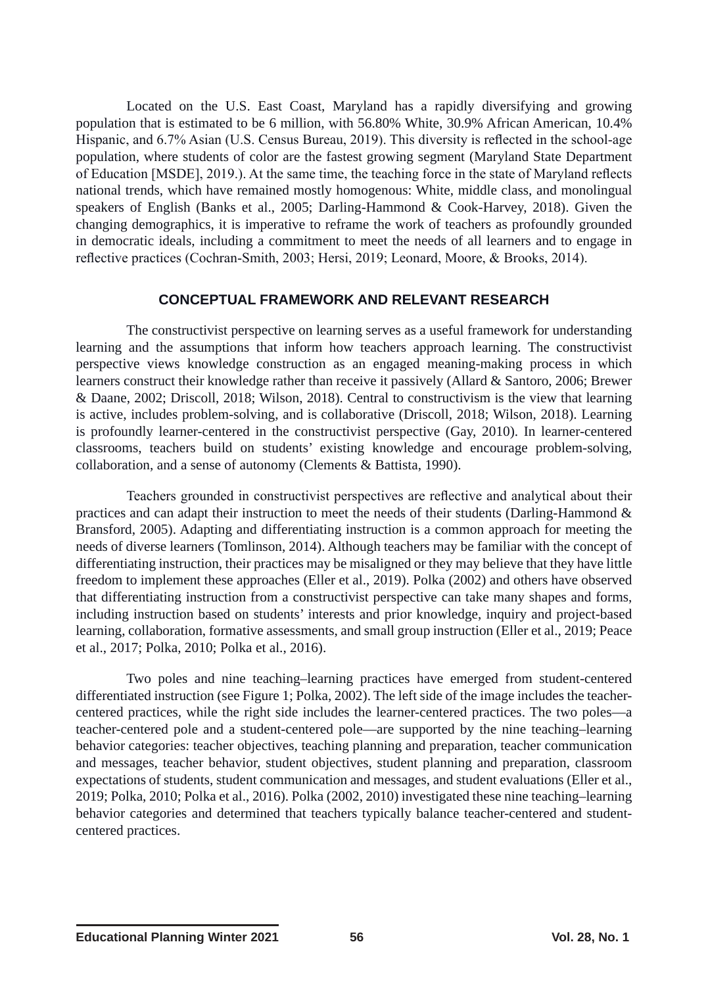Located on the U.S. East Coast, Maryland has a rapidly diversifying and growing population that is estimated to be 6 million, with 56.80% White, 30.9% African American, 10.4% Hispanic, and 6.7% Asian (U.S. Census Bureau, 2019). This diversity is reflected in the school-age population, where students of color are the fastest growing segment (Maryland State Department of Education [MSDE], 2019.). At the same time, the teaching force in the state of Maryland reflects national trends, which have remained mostly homogenous: White, middle class, and monolingual speakers of English (Banks et al., 2005; Darling-Hammond & Cook-Harvey, 2018). Given the changing demographics, it is imperative to reframe the work of teachers as profoundly grounded in democratic ideals, including a commitment to meet the needs of all learners and to engage in reflective practices (Cochran-Smith, 2003; Hersi, 2019; Leonard, Moore, & Brooks, 2014).

### **CONCEPTUAL FRAMEWORK AND RELEVANT RESEARCH**

The constructivist perspective on learning serves as a useful framework for understanding learning and the assumptions that inform how teachers approach learning. The constructivist perspective views knowledge construction as an engaged meaning-making process in which learners construct their knowledge rather than receive it passively (Allard & Santoro, 2006; Brewer & Daane, 2002; Driscoll, 2018; Wilson, 2018). Central to constructivism is the view that learning is active, includes problem-solving, and is collaborative (Driscoll, 2018; Wilson, 2018). Learning is profoundly learner-centered in the constructivist perspective (Gay, 2010). In learner-centered classrooms, teachers build on students' existing knowledge and encourage problem-solving, collaboration, and a sense of autonomy (Clements & Battista, 1990).

Teachers grounded in constructivist perspectives are reflective and analytical about their practices and can adapt their instruction to meet the needs of their students (Darling-Hammond  $\&$ Bransford, 2005). Adapting and differentiating instruction is a common approach for meeting the needs of diverse learners (Tomlinson, 2014). Although teachers may be familiar with the concept of differentiating instruction, their practices may be misaligned or they may believe that they have little freedom to implement these approaches (Eller et al., 2019). Polka (2002) and others have observed that differentiating instruction from a constructivist perspective can take many shapes and forms, including instruction based on students' interests and prior knowledge, inquiry and project-based learning, collaboration, formative assessments, and small group instruction (Eller et al., 2019; Peace et al., 2017; Polka, 2010; Polka et al., 2016).

Two poles and nine teaching–learning practices have emerged from student-centered differentiated instruction (see Figure 1; Polka, 2002). The left side of the image includes the teachercentered practices, while the right side includes the learner-centered practices. The two poles—a teacher-centered pole and a student-centered pole—are supported by the nine teaching–learning behavior categories: teacher objectives, teaching planning and preparation, teacher communication and messages, teacher behavior, student objectives, student planning and preparation, classroom expectations of students, student communication and messages, and student evaluations (Eller et al., 2019; Polka, 2010; Polka et al., 2016). Polka (2002, 2010) investigated these nine teaching–learning behavior categories and determined that teachers typically balance teacher-centered and studentcentered practices.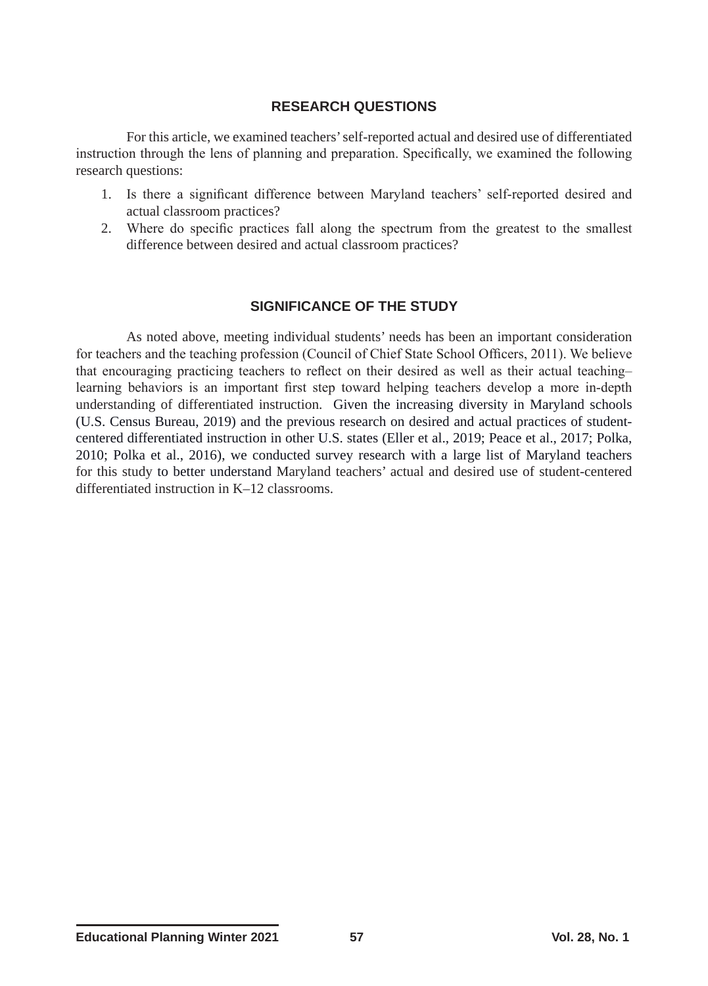## **RESEARCH QUESTIONS**

For this article, we examined teachers' self-reported actual and desired use of differentiated instruction through the lens of planning and preparation. Specifically, we examined the following research questions:

- 1. Is there a significant difference between Maryland teachers' self-reported desired and actual classroom practices?
- 2. Where do specific practices fall along the spectrum from the greatest to the smallest difference between desired and actual classroom practices?

## **SIGNIFICANCE OF THE STUDY**

As noted above, meeting individual students' needs has been an important consideration for teachers and the teaching profession (Council of Chief State School Officers, 2011). We believe that encouraging practicing teachers to reflect on their desired as well as their actual teaching– learning behaviors is an important first step toward helping teachers develop a more in-depth understanding of differentiated instruction. Given the increasing diversity in Maryland schools (U.S. Census Bureau, 2019) and the previous research on desired and actual practices of studentcentered differentiated instruction in other U.S. states (Eller et al., 2019; Peace et al., 2017; Polka, 2010; Polka et al., 2016), we conducted survey research with a large list of Maryland teachers for this study to better understand Maryland teachers' actual and desired use of student-centered differentiated instruction in K–12 classrooms.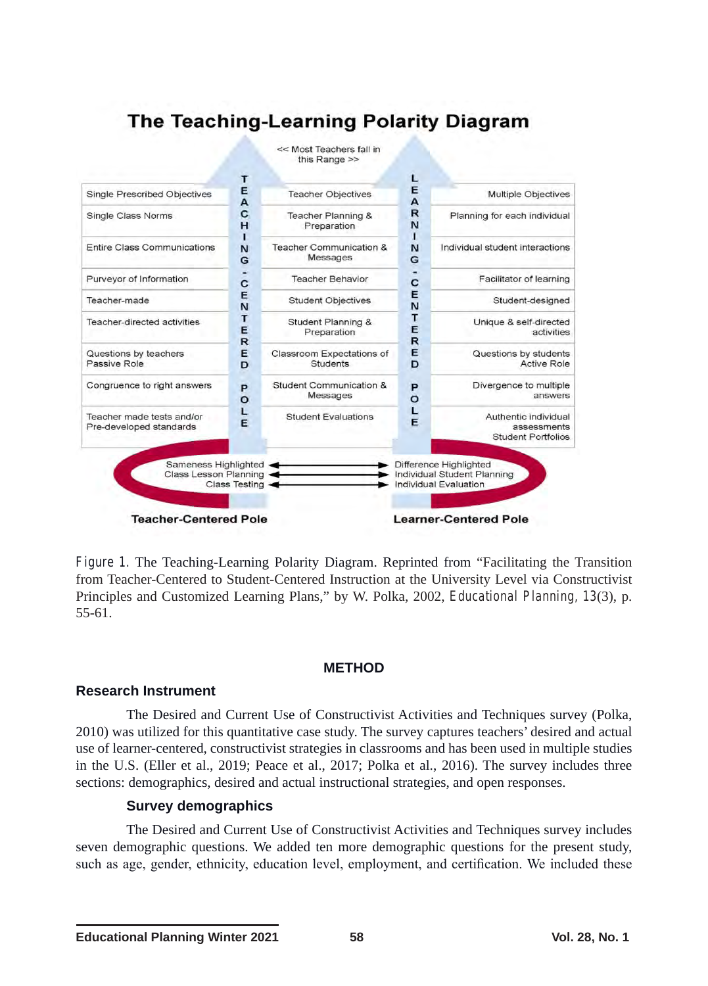

*Figure 1.* The Teaching-Learning Polarity Diagram. Reprinted from "Facilitating the Transition from Teacher-Centered to Student-Centered Instruction at the University Level via Constructivist Principles and Customized Learning Plans," by W. Polka, 2002, *Educational Planning, 13*(3), p. 55-61.

#### **METHOD**

#### **Research Instrument**

The Desired and Current Use of Constructivist Activities and Techniques survey (Polka, 2010) was utilized for this quantitative case study. The survey captures teachers' desired and actual use of learner-centered, constructivist strategies in classrooms and has been used in multiple studies in the U.S. (Eller et al., 2019; Peace et al., 2017; Polka et al., 2016). The survey includes three sections: demographics, desired and actual instructional strategies, and open responses.

### **Survey demographics**

The Desired and Current Use of Constructivist Activities and Techniques survey includes seven demographic questions. We added ten more demographic questions for the present study, such as age, gender, ethnicity, education level, employment, and certification. We included these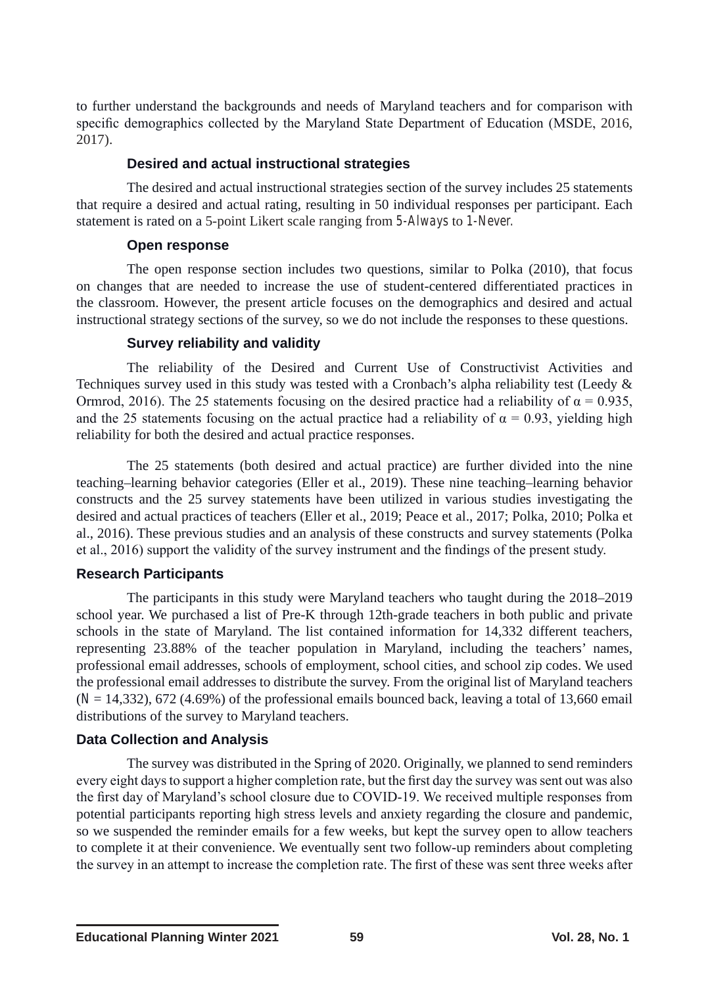to further understand the backgrounds and needs of Maryland teachers and for comparison with specific demographics collected by the Maryland State Department of Education (MSDE, 2016, 2017).

## **Desired and actual instructional strategies**

The desired and actual instructional strategies section of the survey includes 25 statements that require a desired and actual rating, resulting in 50 individual responses per participant. Each statement is rated on a 5-point Likert scale ranging from *5-Always* to *1-Never.*

## **Open response**

The open response section includes two questions, similar to Polka (2010), that focus on changes that are needed to increase the use of student-centered differentiated practices in the classroom. However, the present article focuses on the demographics and desired and actual instructional strategy sections of the survey, so we do not include the responses to these questions.

# **Survey reliability and validity**

The reliability of the Desired and Current Use of Constructivist Activities and Techniques survey used in this study was tested with a Cronbach's alpha reliability test (Leedy & Ormrod, 2016). The 25 statements focusing on the desired practice had a reliability of  $\alpha = 0.935$ , and the 25 statements focusing on the actual practice had a reliability of  $\alpha = 0.93$ , yielding high reliability for both the desired and actual practice responses.

The 25 statements (both desired and actual practice) are further divided into the nine teaching–learning behavior categories (Eller et al., 2019). These nine teaching–learning behavior constructs and the 25 survey statements have been utilized in various studies investigating the desired and actual practices of teachers (Eller et al., 2019; Peace et al., 2017; Polka, 2010; Polka et al., 2016). These previous studies and an analysis of these constructs and survey statements (Polka et al., 2016) support the validity of the survey instrument and the findings of the present study.

# **Research Participants**

The participants in this study were Maryland teachers who taught during the 2018–2019 school year. We purchased a list of Pre-K through 12th-grade teachers in both public and private schools in the state of Maryland. The list contained information for 14,332 different teachers, representing 23.88% of the teacher population in Maryland, including the teachers' names, professional email addresses, schools of employment, school cities, and school zip codes. We used the professional email addresses to distribute the survey. From the original list of Maryland teachers  $(N = 14,332)$ , 672 (4.69%) of the professional emails bounced back, leaving a total of 13,660 email distributions of the survey to Maryland teachers.

# **Data Collection and Analysis**

The survey was distributed in the Spring of 2020. Originally, we planned to send reminders every eight days to support a higher completion rate, but the first day the survey was sent out was also the first day of Maryland's school closure due to COVID-19. We received multiple responses from potential participants reporting high stress levels and anxiety regarding the closure and pandemic, so we suspended the reminder emails for a few weeks, but kept the survey open to allow teachers to complete it at their convenience. We eventually sent two follow-up reminders about completing the survey in an attempt to increase the completion rate. The first of these was sent three weeks after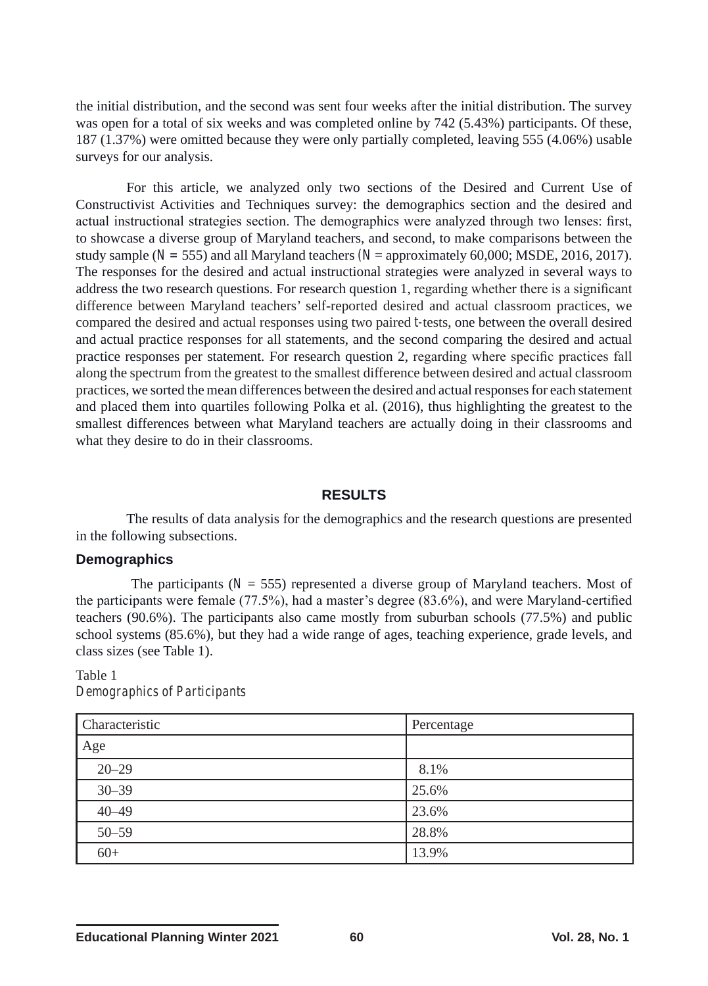the initial distribution, and the second was sent four weeks after the initial distribution. The survey was open for a total of six weeks and was completed online by 742 (5.43%) participants. Of these, 187 (1.37%) were omitted because they were only partially completed, leaving 555 (4.06%) usable surveys for our analysis.

For this article, we analyzed only two sections of the Desired and Current Use of Constructivist Activities and Techniques survey: the demographics section and the desired and actual instructional strategies section. The demographics were analyzed through two lenses: first, to showcase a diverse group of Maryland teachers, and second, to make comparisons between the study sample ( $N = 555$ ) and all Maryland teachers ( $N =$  approximately 60,000; MSDE, 2016, 2017). The responses for the desired and actual instructional strategies were analyzed in several ways to address the two research questions. For research question 1, regarding whether there is a significant difference between Maryland teachers' self-reported desired and actual classroom practices, we compared the desired and actual responses using two paired *t-*tests, one between the overall desired and actual practice responses for all statements, and the second comparing the desired and actual practice responses per statement. For research question 2, regarding where specific practices fall along the spectrum from the greatest to the smallest difference between desired and actual classroom practices, we sorted the mean differences between the desired and actual responses for each statement and placed them into quartiles following Polka et al. (2016), thus highlighting the greatest to the smallest differences between what Maryland teachers are actually doing in their classrooms and what they desire to do in their classrooms.

## **RESULTS**

The results of data analysis for the demographics and the research questions are presented in the following subsections.

#### **Demographics**

The participants ( $N = 555$ ) represented a diverse group of Maryland teachers. Most of the participants were female (77.5%), had a master's degree (83.6%), and were Maryland-certified teachers (90.6%). The participants also came mostly from suburban schools (77.5%) and public school systems (85.6%), but they had a wide range of ages, teaching experience, grade levels, and class sizes (see Table 1).

#### Table 1 *Demographics of Participants*

| Characteristic | Percentage |
|----------------|------------|
| Age            |            |
| $20 - 29$      | 8.1%       |
| $30 - 39$      | 25.6%      |
| $40 - 49$      | 23.6%      |
| $50 - 59$      | 28.8%      |
| $60+$          | 13.9%      |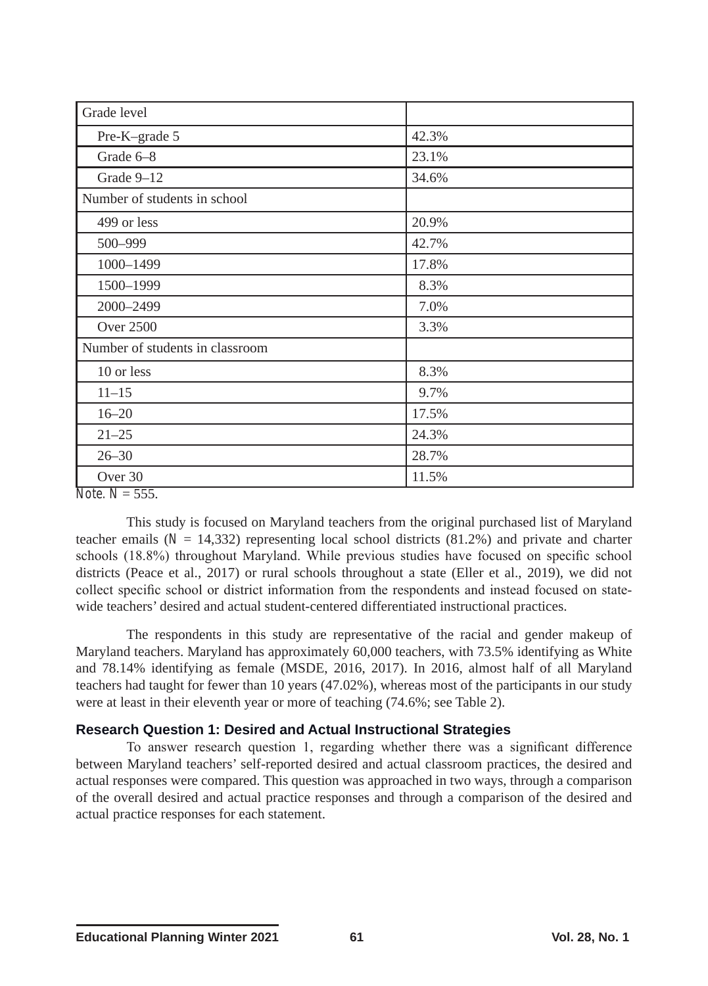| Grade level                                                                 |       |  |
|-----------------------------------------------------------------------------|-------|--|
| Pre-K-grade 5                                                               | 42.3% |  |
| Grade 6-8                                                                   | 23.1% |  |
| Grade 9-12                                                                  | 34.6% |  |
| Number of students in school                                                |       |  |
| 499 or less                                                                 | 20.9% |  |
| 500-999                                                                     | 42.7% |  |
| 1000-1499                                                                   | 17.8% |  |
| 1500-1999                                                                   | 8.3%  |  |
| 2000-2499                                                                   | 7.0%  |  |
| <b>Over 2500</b>                                                            | 3.3%  |  |
| Number of students in classroom                                             |       |  |
| 10 or less                                                                  | 8.3%  |  |
| $11 - 15$                                                                   | 9.7%  |  |
| $16 - 20$                                                                   | 17.5% |  |
| $21 - 25$                                                                   | 24.3% |  |
| $26 - 30$                                                                   | 28.7% |  |
| Over 30<br>$\mathbf{v}$ $\mathbf{v}$ $\mathbf{v}$ $\mathbf{v}$ $\mathbf{v}$ | 11.5% |  |

*Note. N* = 555.

This study is focused on Maryland teachers from the original purchased list of Maryland teacher emails  $(N = 14,332)$  representing local school districts  $(81.2%)$  and private and charter schools (18.8%) throughout Maryland. While previous studies have focused on specific school districts (Peace et al., 2017) or rural schools throughout a state (Eller et al., 2019), we did not collect specific school or district information from the respondents and instead focused on statewide teachers' desired and actual student-centered differentiated instructional practices.

The respondents in this study are representative of the racial and gender makeup of Maryland teachers. Maryland has approximately 60,000 teachers, with 73.5% identifying as White and 78.14% identifying as female (MSDE, 2016, 2017). In 2016, almost half of all Maryland teachers had taught for fewer than 10 years (47.02%), whereas most of the participants in our study were at least in their eleventh year or more of teaching (74.6%; see Table 2).

# **Research Question 1: Desired and Actual Instructional Strategies**

To answer research question 1, regarding whether there was a significant difference between Maryland teachers' self-reported desired and actual classroom practices, the desired and actual responses were compared. This question was approached in two ways, through a comparison of the overall desired and actual practice responses and through a comparison of the desired and actual practice responses for each statement.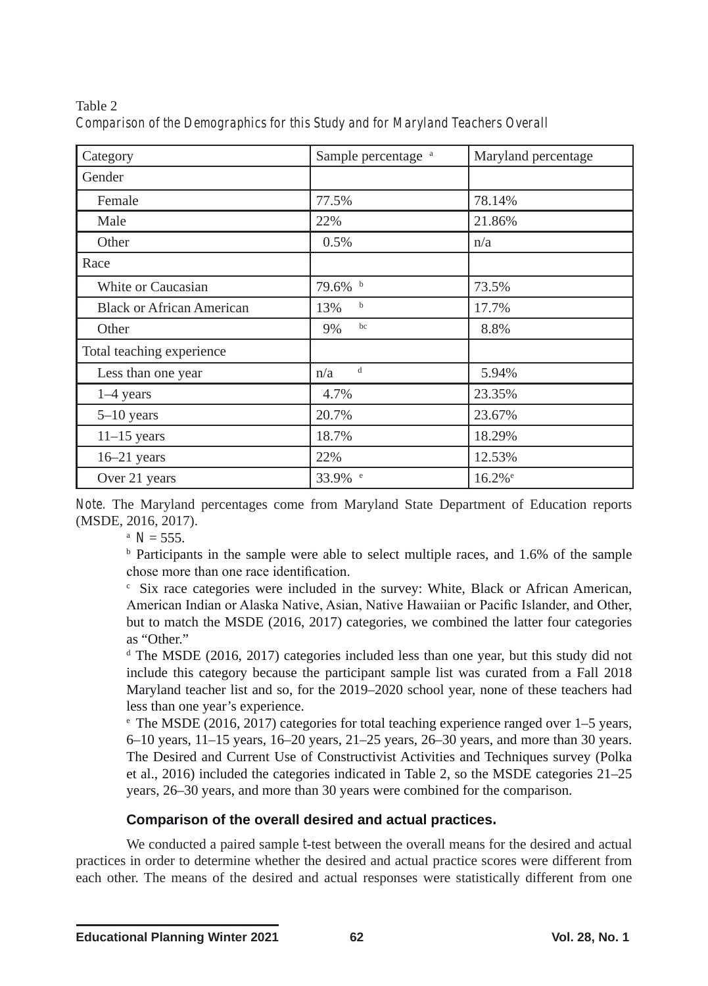| Category                         | Sample percentage <sup>a</sup> | Maryland percentage  |
|----------------------------------|--------------------------------|----------------------|
| Gender                           |                                |                      |
| Female                           | 77.5%                          | 78.14%               |
| Male                             | 22%                            | 21.86%               |
| Other                            | 0.5%                           | n/a                  |
| Race                             |                                |                      |
| White or Caucasian               | 79.6% b                        | 73.5%                |
| <b>Black or African American</b> | b<br>13%                       | 17.7%                |
| Other                            | bc<br>9%                       | 8.8%                 |
| Total teaching experience        |                                |                      |
| Less than one year               | d<br>n/a                       | 5.94%                |
| $1-4$ years                      | 4.7%                           | 23.35%               |
| $5-10$ years                     | 20.7%                          | 23.67%               |
| $11-15$ years                    | 18.7%                          | 18.29%               |
| $16-21$ years                    | 22%                            | 12.53%               |
| Over 21 years                    | 33.9% <sup>e</sup>             | $16.2%$ <sup>e</sup> |

Table 2 *Comparison of the Demographics for this Study and for Maryland Teachers Overall*

*Note.* The Maryland percentages come from Maryland State Department of Education reports (MSDE, 2016, 2017). a *<sup>N</sup>*= 555.

b Participants in the sample were able to select multiple races, and 1.6% of the sample chose more than one race identification.

c Six race categories were included in the survey: White, Black or African American, American Indian or Alaska Native, Asian, Native Hawaiian or Pacific Islander, and Other, but to match the MSDE (2016, 2017) categories, we combined the latter four categories as "Other."

 $d$  The MSDE (2016, 2017) categories included less than one year, but this study did not include this category because the participant sample list was curated from a Fall 2018 Maryland teacher list and so, for the 2019–2020 school year, none of these teachers had less than one year's experience.

 $\degree$  The MSDE (2016, 2017) categories for total teaching experience ranged over 1–5 years, 6–10 years, 11–15 years, 16–20 years, 21–25 years, 26–30 years, and more than 30 years. The Desired and Current Use of Constructivist Activities and Techniques survey (Polka et al., 2016) included the categories indicated in Table 2, so the MSDE categories 21–25 years, 26–30 years, and more than 30 years were combined for the comparison.

# **Comparison of the overall desired and actual practices.**

We conducted a paired sample *t*-test between the overall means for the desired and actual practices in order to determine whether the desired and actual practice scores were different from each other. The means of the desired and actual responses were statistically different from one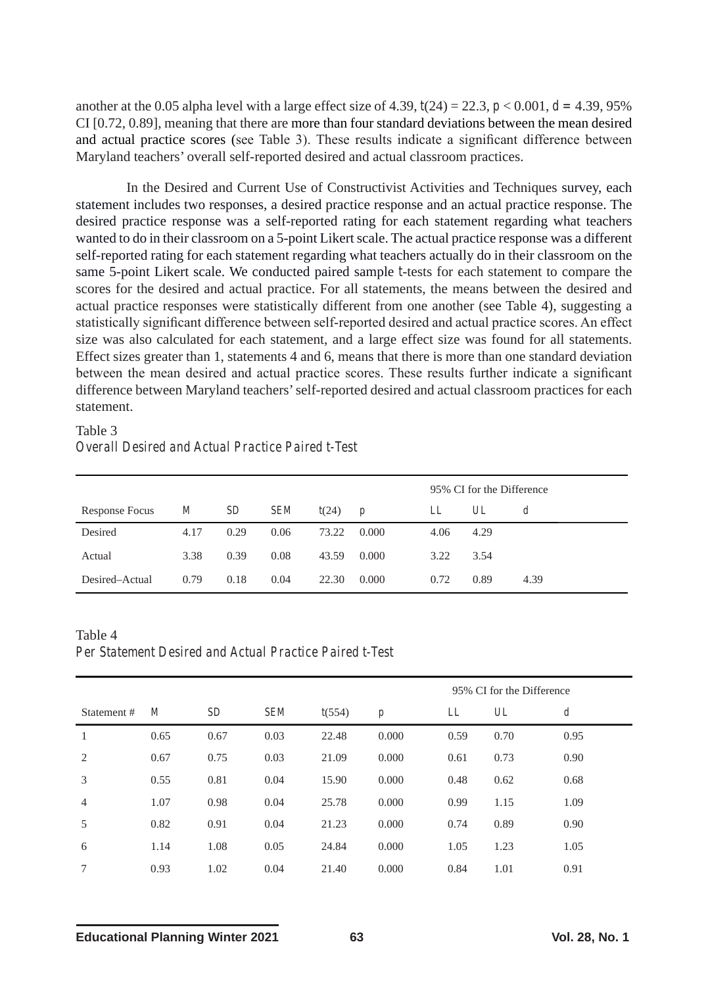another at the 0.05 alpha level with a large effect size of 4.39,  $t(24) = 22.3$ ,  $p < 0.001$ ,  $d = 4.39$ , 95% CI [0.72, 0.89], meaning that there are more than four standard deviations between the mean desired and actual practice scores (see Table 3). These results indicate a significant difference between Maryland teachers' overall self-reported desired and actual classroom practices.

In the Desired and Current Use of Constructivist Activities and Techniques survey, each statement includes two responses, a desired practice response and an actual practice response. The desired practice response was a self-reported rating for each statement regarding what teachers wanted to do in their classroom on a 5-point Likert scale. The actual practice response was a different self-reported rating for each statement regarding what teachers actually do in their classroom on the same 5-point Likert scale. We conducted paired sample *t*-tests for each statement to compare the scores for the desired and actual practice. For all statements, the means between the desired and actual practice responses were statistically different from one another (see Table 4), suggesting a statistically significant difference between self-reported desired and actual practice scores. An effect size was also calculated for each statement, and a large effect size was found for all statements. Effect sizes greater than 1, statements 4 and 6, means that there is more than one standard deviation between the mean desired and actual practice scores. These results further indicate a significant difference between Maryland teachers' self-reported desired and actual classroom practices for each statement.

# Table 3 *Overall Desired and Actual Practice Paired t-Test*

|                |      |      |      |       |                  |      | 95% CI for the Difference |      |
|----------------|------|------|------|-------|------------------|------|---------------------------|------|
| Response Focus | M    | SD   | SEM  | t(24) | $\boldsymbol{p}$ | LL   | UL                        |      |
| Desired        | 4.17 | 0.29 | 0.06 | 73.22 | 0.000            | 4.06 | 4.29                      |      |
| Actual         | 3.38 | 0.39 | 0.08 | 43.59 | 0.000            | 3.22 | 3.54                      |      |
| Desired–Actual | 0.79 | 0.18 | 0.04 | 22.30 | 0.000            | 0.72 | 0.89                      | 4.39 |

Table 4 *Per Statement Desired and Actual Practice Paired t-Test*

|                |                |      |            |        | 95% CI for the Difference |      |      |                  |
|----------------|----------------|------|------------|--------|---------------------------|------|------|------------------|
| Statement #    | $\overline{M}$ | SD   | <b>SEM</b> | t(554) | $\boldsymbol{p}$          | LL   | UL   | $\boldsymbol{d}$ |
| 1              | 0.65           | 0.67 | 0.03       | 22.48  | 0.000                     | 0.59 | 0.70 | 0.95             |
| 2              | 0.67           | 0.75 | 0.03       | 21.09  | 0.000                     | 0.61 | 0.73 | 0.90             |
| 3              | 0.55           | 0.81 | 0.04       | 15.90  | 0.000                     | 0.48 | 0.62 | 0.68             |
| $\overline{4}$ | 1.07           | 0.98 | 0.04       | 25.78  | 0.000                     | 0.99 | 1.15 | 1.09             |
| 5              | 0.82           | 0.91 | 0.04       | 21.23  | 0.000                     | 0.74 | 0.89 | 0.90             |
| 6              | 1.14           | 1.08 | 0.05       | 24.84  | 0.000                     | 1.05 | 1.23 | 1.05             |
| 7              | 0.93           | 1.02 | 0.04       | 21.40  | 0.000                     | 0.84 | 1.01 | 0.91             |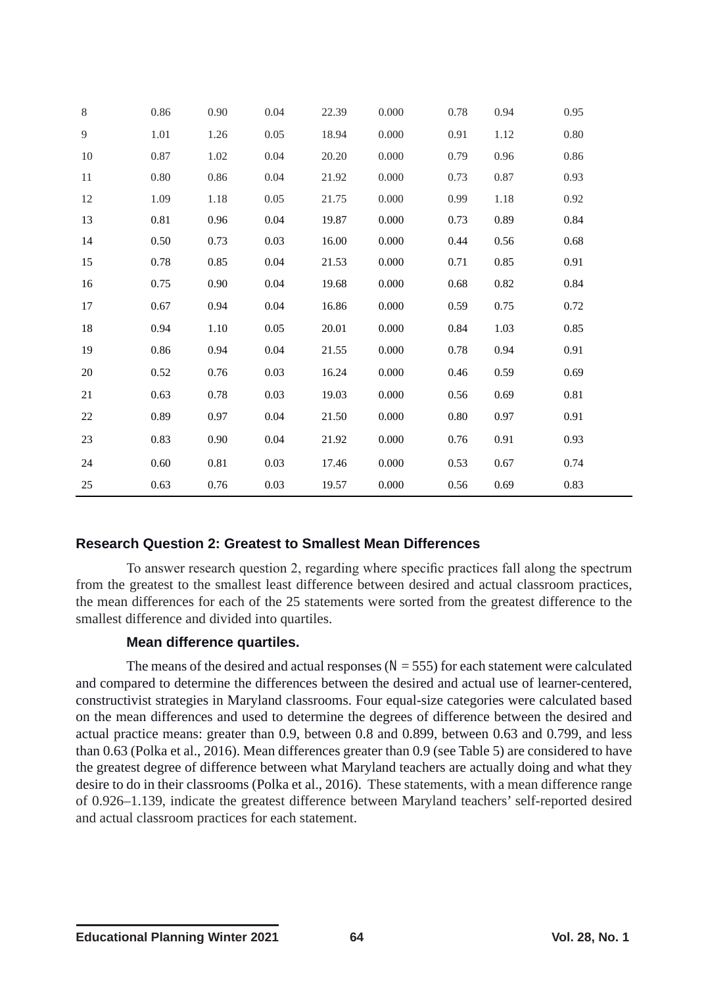| 8  | 0.86 | 0.90 | 0.04 | 22.39 | 0.000 | 0.78 | 0.94 | 0.95 |
|----|------|------|------|-------|-------|------|------|------|
| 9  | 1.01 | 1.26 | 0.05 | 18.94 | 0.000 | 0.91 | 1.12 | 0.80 |
| 10 | 0.87 | 1.02 | 0.04 | 20.20 | 0.000 | 0.79 | 0.96 | 0.86 |
| 11 | 0.80 | 0.86 | 0.04 | 21.92 | 0.000 | 0.73 | 0.87 | 0.93 |
| 12 | 1.09 | 1.18 | 0.05 | 21.75 | 0.000 | 0.99 | 1.18 | 0.92 |
| 13 | 0.81 | 0.96 | 0.04 | 19.87 | 0.000 | 0.73 | 0.89 | 0.84 |
| 14 | 0.50 | 0.73 | 0.03 | 16.00 | 0.000 | 0.44 | 0.56 | 0.68 |
| 15 | 0.78 | 0.85 | 0.04 | 21.53 | 0.000 | 0.71 | 0.85 | 0.91 |
| 16 | 0.75 | 0.90 | 0.04 | 19.68 | 0.000 | 0.68 | 0.82 | 0.84 |
| 17 | 0.67 | 0.94 | 0.04 | 16.86 | 0.000 | 0.59 | 0.75 | 0.72 |
| 18 | 0.94 | 1.10 | 0.05 | 20.01 | 0.000 | 0.84 | 1.03 | 0.85 |
| 19 | 0.86 | 0.94 | 0.04 | 21.55 | 0.000 | 0.78 | 0.94 | 0.91 |
| 20 | 0.52 | 0.76 | 0.03 | 16.24 | 0.000 | 0.46 | 0.59 | 0.69 |
| 21 | 0.63 | 0.78 | 0.03 | 19.03 | 0.000 | 0.56 | 0.69 | 0.81 |
| 22 | 0.89 | 0.97 | 0.04 | 21.50 | 0.000 | 0.80 | 0.97 | 0.91 |
| 23 | 0.83 | 0.90 | 0.04 | 21.92 | 0.000 | 0.76 | 0.91 | 0.93 |
| 24 | 0.60 | 0.81 | 0.03 | 17.46 | 0.000 | 0.53 | 0.67 | 0.74 |
| 25 | 0.63 | 0.76 | 0.03 | 19.57 | 0.000 | 0.56 | 0.69 | 0.83 |

# **Research Question 2: Greatest to Smallest Mean Differences**

To answer research question 2, regarding where specific practices fall along the spectrum from the greatest to the smallest least difference between desired and actual classroom practices, the mean differences for each of the 25 statements were sorted from the greatest difference to the smallest difference and divided into quartiles.

### **Mean difference quartiles.**

The means of the desired and actual responses  $(N = 555)$  for each statement were calculated and compared to determine the differences between the desired and actual use of learner-centered, constructivist strategies in Maryland classrooms. Four equal-size categories were calculated based on the mean differences and used to determine the degrees of difference between the desired and actual practice means: greater than 0.9, between 0.8 and 0.899, between 0.63 and 0.799, and less than 0.63 (Polka et al., 2016). Mean differences greater than 0.9 (see Table 5) are considered to have the greatest degree of difference between what Maryland teachers are actually doing and what they desire to do in their classrooms (Polka et al., 2016). These statements, with a mean difference range of 0.926–1.139, indicate the greatest difference between Maryland teachers' self-reported desired and actual classroom practices for each statement.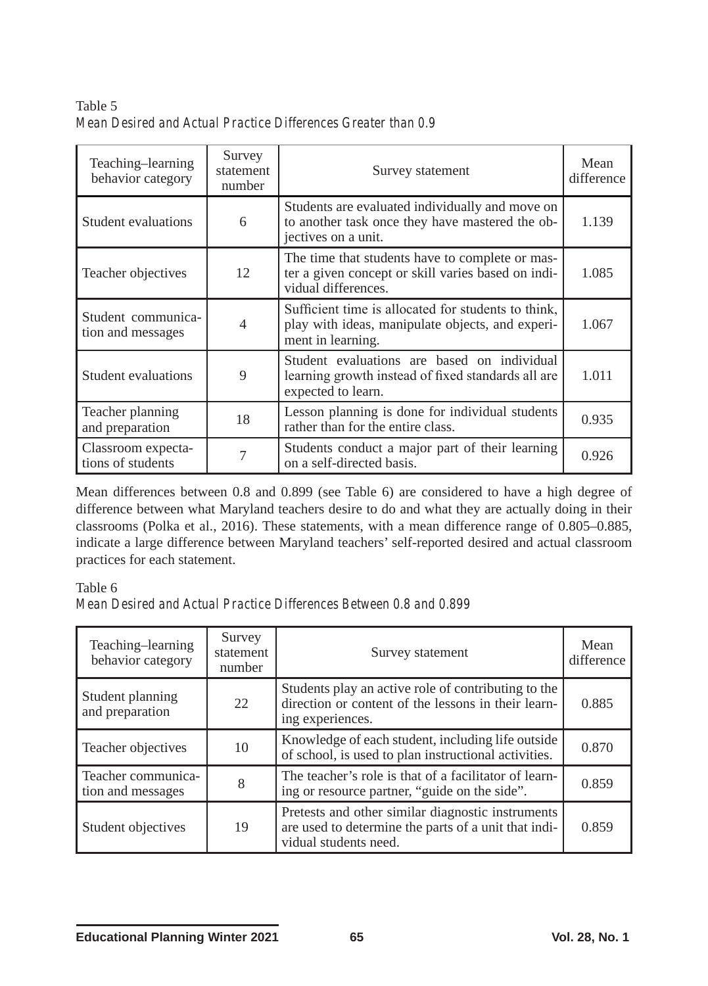Table 5 *Mean Desired and Actual Practice Differences Greater than 0.9*

| Teaching-learning<br>behavior category  | Survey<br>statement<br>number | Survey statement                                                                                                             | Mean<br>difference |
|-----------------------------------------|-------------------------------|------------------------------------------------------------------------------------------------------------------------------|--------------------|
| Student evaluations                     | 6                             | Students are evaluated individually and move on<br>to another task once they have mastered the ob-<br>jectives on a unit.    | 1.139              |
| Teacher objectives                      | 12                            | The time that students have to complete or mas-<br>ter a given concept or skill varies based on indi-<br>vidual differences. | 1.085              |
| Student communica-<br>tion and messages | $\overline{4}$                | Sufficient time is allocated for students to think,<br>play with ideas, manipulate objects, and experi-<br>ment in learning. | 1.067              |
| Student evaluations                     | 9                             | Student evaluations are based on individual<br>learning growth instead of fixed standards all are<br>expected to learn.      | 1.011              |
| Teacher planning<br>and preparation     | 18                            | Lesson planning is done for individual students<br>rather than for the entire class.                                         | 0.935              |
| Classroom expecta-<br>tions of students | 7                             | Students conduct a major part of their learning<br>on a self-directed basis.                                                 | 0.926              |

Mean differences between 0.8 and 0.899 (see Table 6) are considered to have a high degree of difference between what Maryland teachers desire to do and what they are actually doing in their classrooms (Polka et al., 2016). These statements, with a mean difference range of 0.805–0.885, indicate a large difference between Maryland teachers' self-reported desired and actual classroom practices for each statement.

### Table 6

*Mean Desired and Actual Practice Differences Between 0.8 and 0.899*

| Teaching-learning<br>behavior category  | Survey<br>statement<br>number | Survey statement                                                                                                                   | Mean<br>difference |
|-----------------------------------------|-------------------------------|------------------------------------------------------------------------------------------------------------------------------------|--------------------|
| Student planning<br>and preparation     | 22                            | Students play an active role of contributing to the<br>direction or content of the lessons in their learn-<br>ing experiences.     | 0.885              |
| Teacher objectives                      | 10                            | Knowledge of each student, including life outside<br>of school, is used to plan instructional activities.                          | 0.870              |
| Teacher communica-<br>tion and messages | 8                             | The teacher's role is that of a facilitator of learn-<br>ing or resource partner, "guide on the side".                             | 0.859              |
| Student objectives                      | 19                            | Pretests and other similar diagnostic instruments<br>are used to determine the parts of a unit that indi-<br>vidual students need. | 0.859              |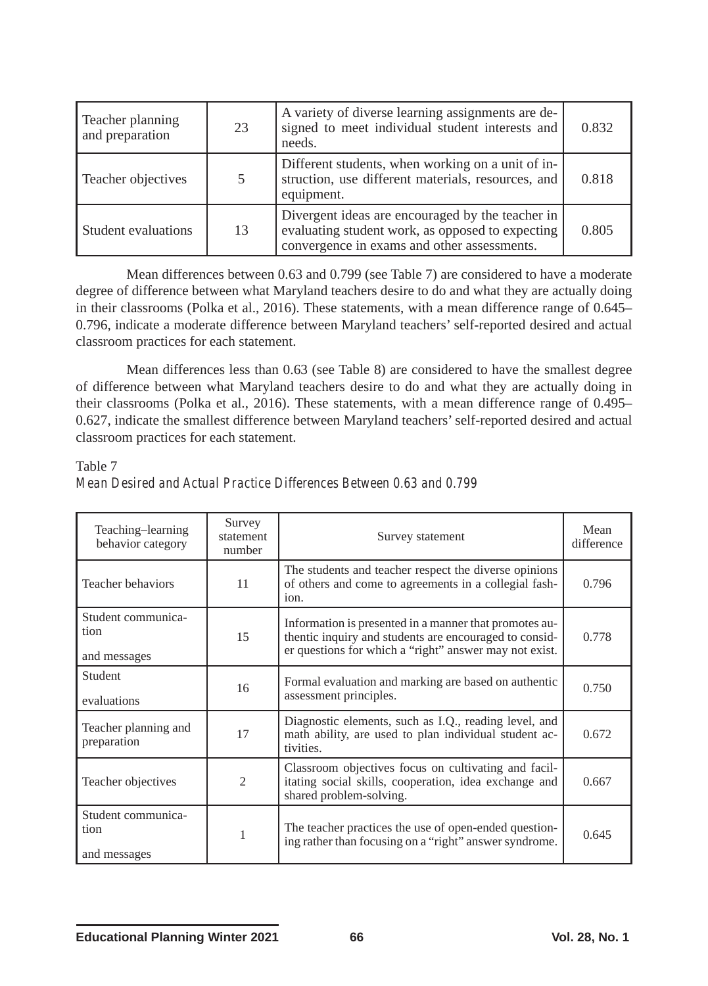| Teacher planning<br>and preparation | 23 | A variety of diverse learning assignments are de-<br>signed to meet individual student interests and<br>needs.                                      | 0.832 |
|-------------------------------------|----|-----------------------------------------------------------------------------------------------------------------------------------------------------|-------|
| Teacher objectives                  |    | Different students, when working on a unit of in-<br>struction, use different materials, resources, and<br>equipment.                               | 0.818 |
| Student evaluations                 | 13 | Divergent ideas are encouraged by the teacher in<br>evaluating student work, as opposed to expecting<br>convergence in exams and other assessments. | 0.805 |

Mean differences between 0.63 and 0.799 (see Table 7) are considered to have a moderate degree of difference between what Maryland teachers desire to do and what they are actually doing in their classrooms (Polka et al., 2016). These statements, with a mean difference range of 0.645– 0.796, indicate a moderate difference between Maryland teachers' self-reported desired and actual classroom practices for each statement.

Mean differences less than 0.63 (see Table 8) are considered to have the smallest degree of difference between what Maryland teachers desire to do and what they are actually doing in their classrooms (Polka et al., 2016). These statements, with a mean difference range of 0.495– 0.627, indicate the smallest difference between Maryland teachers' self-reported desired and actual classroom practices for each statement.

#### Table 7

| Teaching-learning<br>behavior category     | Survey<br>statement<br>number | Survey statement                                                                                                                                                           | Mean<br>difference |
|--------------------------------------------|-------------------------------|----------------------------------------------------------------------------------------------------------------------------------------------------------------------------|--------------------|
| Teacher behaviors                          | 11                            | The students and teacher respect the diverse opinions<br>of others and come to agreements in a collegial fash-<br>10n.                                                     | 0.796              |
| Student communica-<br>tion<br>and messages | 15                            | Information is presented in a manner that promotes au-<br>thentic inquiry and students are encouraged to consid-<br>er questions for which a "right" answer may not exist. | 0.778              |
| Student<br>evaluations                     | 16                            | Formal evaluation and marking are based on authentic<br>assessment principles.                                                                                             | 0.750              |
| Teacher planning and<br>preparation        | 17                            | Diagnostic elements, such as I.Q., reading level, and<br>math ability, are used to plan individual student ac-<br>tivities.                                                | 0.672              |
| Teacher objectives                         | $\mathcal{D}_{\mathcal{L}}$   | Classroom objectives focus on cultivating and facil-<br>itating social skills, cooperation, idea exchange and<br>shared problem-solving.                                   | 0.667              |
| Student communica-<br>tion<br>and messages | 1                             | The teacher practices the use of open-ended question-<br>ing rather than focusing on a "right" answer syndrome.                                                            | 0.645              |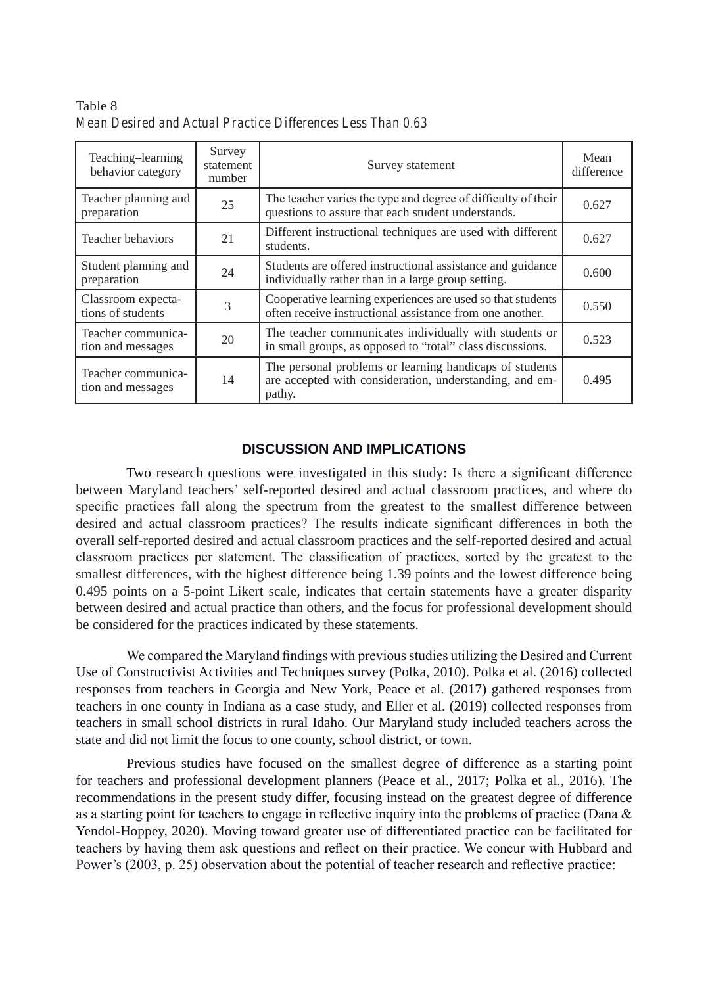| Teaching-learning<br>behavior category  | Survey<br>statement<br>number | Survey statement                                                                                                             | Mean<br>difference |
|-----------------------------------------|-------------------------------|------------------------------------------------------------------------------------------------------------------------------|--------------------|
| Teacher planning and<br>preparation     | 25                            | The teacher varies the type and degree of difficulty of their<br>questions to assure that each student understands.          | 0.627              |
| Teacher behaviors                       | 21                            | Different instructional techniques are used with different<br>students.                                                      | 0.627              |
| Student planning and<br>preparation     | 24                            | Students are offered instructional assistance and guidance<br>individually rather than in a large group setting.             | 0.600              |
| Classroom expecta-<br>tions of students | 3                             | Cooperative learning experiences are used so that students<br>often receive instructional assistance from one another.       | 0.550              |
| Teacher communica-<br>tion and messages | 20                            | The teacher communicates individually with students or<br>in small groups, as opposed to "total" class discussions.          | 0.523              |
| Teacher communica-<br>tion and messages | 14                            | The personal problems or learning handicaps of students<br>are accepted with consideration, understanding, and em-<br>pathy. | 0.495              |

Table 8 *Mean Desired and Actual Practice Differences Less Than 0.63*

## **DISCUSSION AND IMPLICATIONS**

Two research questions were investigated in this study: Is there a significant difference between Maryland teachers' self-reported desired and actual classroom practices, and where do specific practices fall along the spectrum from the greatest to the smallest difference between desired and actual classroom practices? The results indicate significant differences in both the overall self-reported desired and actual classroom practices and the self-reported desired and actual classroom practices per statement. The classification of practices, sorted by the greatest to the smallest differences, with the highest difference being 1.39 points and the lowest difference being 0.495 points on a 5-point Likert scale, indicates that certain statements have a greater disparity between desired and actual practice than others, and the focus for professional development should be considered for the practices indicated by these statements.

We compared the Maryland findings with previous studies utilizing the Desired and Current Use of Constructivist Activities and Techniques survey (Polka, 2010). Polka et al. (2016) collected responses from teachers in Georgia and New York, Peace et al. (2017) gathered responses from teachers in one county in Indiana as a case study, and Eller et al. (2019) collected responses from teachers in small school districts in rural Idaho. Our Maryland study included teachers across the state and did not limit the focus to one county, school district, or town.

Previous studies have focused on the smallest degree of difference as a starting point for teachers and professional development planners (Peace et al., 2017; Polka et al., 2016). The recommendations in the present study differ, focusing instead on the greatest degree of difference as a starting point for teachers to engage in reflective inquiry into the problems of practice (Dana  $\&$ Yendol-Hoppey, 2020). Moving toward greater use of differentiated practice can be facilitated for teachers by having them ask questions and reflect on their practice. We concur with Hubbard and Power's (2003, p. 25) observation about the potential of teacher research and reflective practice: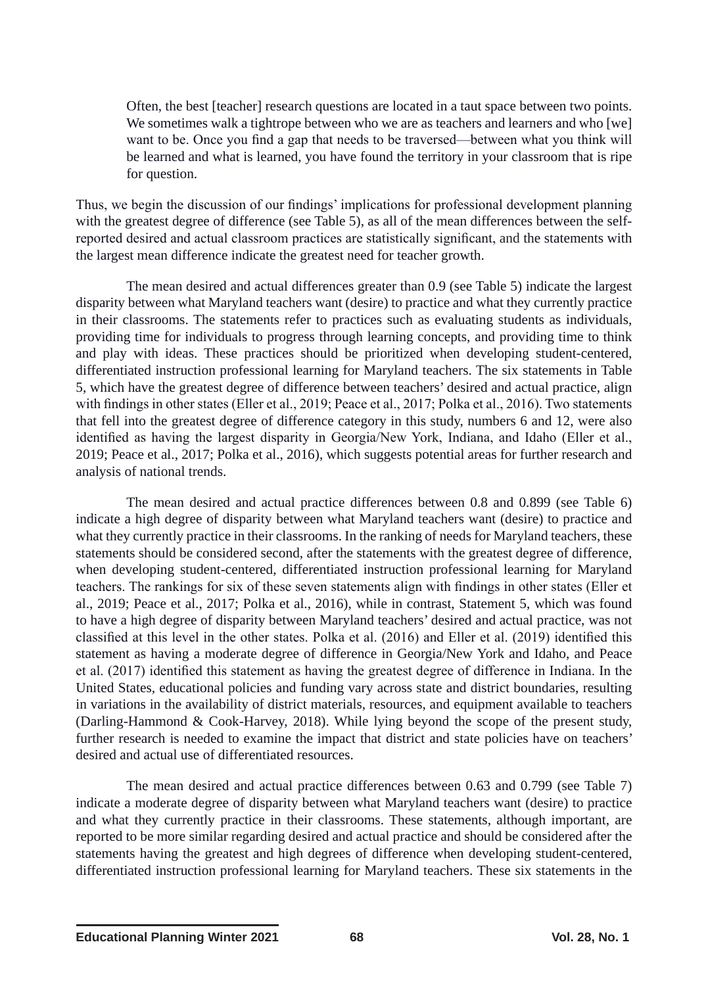Often, the best [teacher] research questions are located in a taut space between two points. We sometimes walk a tightrope between who we are as teachers and learners and who [we] want to be. Once you find a gap that needs to be traversed—between what you think will be learned and what is learned, you have found the territory in your classroom that is ripe for question.

Thus, we begin the discussion of our findings' implications for professional development planning with the greatest degree of difference (see Table 5), as all of the mean differences between the selfreported desired and actual classroom practices are statistically significant, and the statements with the largest mean difference indicate the greatest need for teacher growth.

The mean desired and actual differences greater than 0.9 (see Table 5) indicate the largest disparity between what Maryland teachers want (desire) to practice and what they currently practice in their classrooms. The statements refer to practices such as evaluating students as individuals, providing time for individuals to progress through learning concepts, and providing time to think and play with ideas. These practices should be prioritized when developing student-centered, differentiated instruction professional learning for Maryland teachers. The six statements in Table 5, which have the greatest degree of difference between teachers' desired and actual practice, align with findings in other states (Eller et al., 2019; Peace et al., 2017; Polka et al., 2016). Two statements that fell into the greatest degree of difference category in this study, numbers 6 and 12, were also identified as having the largest disparity in Georgia/New York, Indiana, and Idaho (Eller et al., 2019; Peace et al., 2017; Polka et al., 2016), which suggests potential areas for further research and analysis of national trends.

The mean desired and actual practice differences between 0.8 and 0.899 (see Table 6) indicate a high degree of disparity between what Maryland teachers want (desire) to practice and what they currently practice in their classrooms. In the ranking of needs for Maryland teachers, these statements should be considered second, after the statements with the greatest degree of difference, when developing student-centered, differentiated instruction professional learning for Maryland teachers. The rankings for six of these seven statements align with findings in other states (Eller et al., 2019; Peace et al., 2017; Polka et al., 2016), while in contrast, Statement 5, which was found to have a high degree of disparity between Maryland teachers' desired and actual practice, was not classified at this level in the other states. Polka et al. (2016) and Eller et al. (2019) identified this statement as having a moderate degree of difference in Georgia/New York and Idaho, and Peace et al. (2017) identified this statement as having the greatest degree of difference in Indiana. In the United States, educational policies and funding vary across state and district boundaries, resulting in variations in the availability of district materials, resources, and equipment available to teachers (Darling-Hammond & Cook-Harvey, 2018). While lying beyond the scope of the present study, further research is needed to examine the impact that district and state policies have on teachers' desired and actual use of differentiated resources.

The mean desired and actual practice differences between 0.63 and 0.799 (see Table 7) indicate a moderate degree of disparity between what Maryland teachers want (desire) to practice and what they currently practice in their classrooms. These statements, although important, are reported to be more similar regarding desired and actual practice and should be considered after the statements having the greatest and high degrees of difference when developing student-centered, differentiated instruction professional learning for Maryland teachers. These six statements in the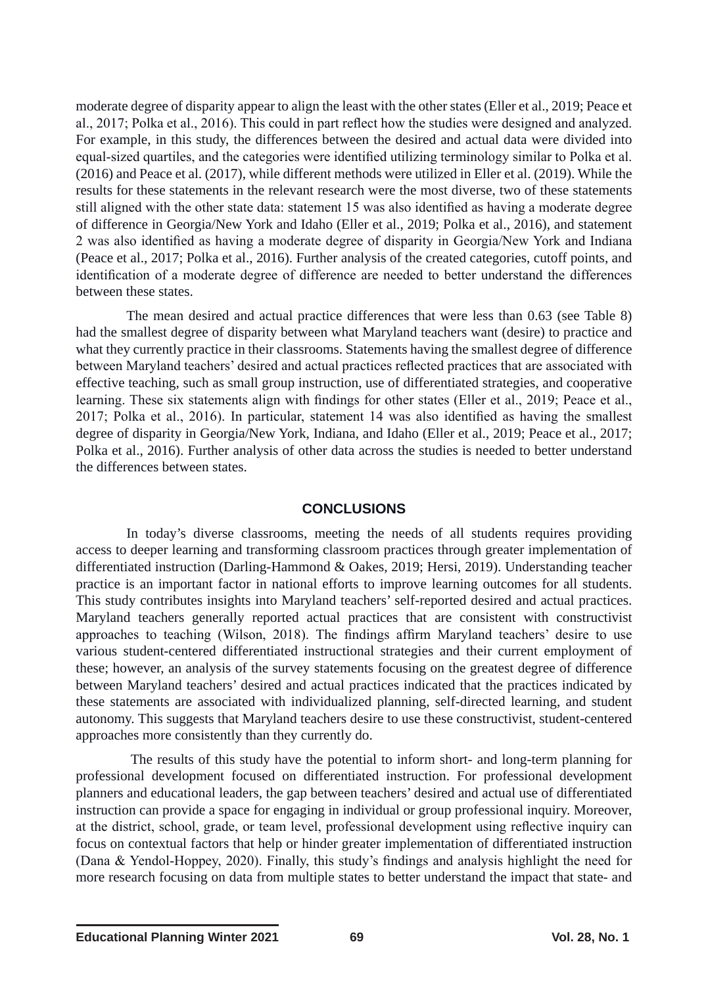moderate degree of disparity appear to align the least with the other states (Eller et al., 2019; Peace et al., 2017; Polka et al., 2016). This could in part reflect how the studies were designed and analyzed. For example, in this study, the differences between the desired and actual data were divided into equal-sized quartiles, and the categories were identified utilizing terminology similar to Polka et al. (2016) and Peace et al. (2017), while different methods were utilized in Eller et al. (2019). While the results for these statements in the relevant research were the most diverse, two of these statements still aligned with the other state data: statement 15 was also identified as having a moderate degree of difference in Georgia/New York and Idaho (Eller et al., 2019; Polka et al., 2016), and statement 2 was also identified as having a moderate degree of disparity in Georgia/New York and Indiana (Peace et al., 2017; Polka et al., 2016). Further analysis of the created categories, cutoff points, and identification of a moderate degree of difference are needed to better understand the differences between these states.

The mean desired and actual practice differences that were less than 0.63 (see Table 8) had the smallest degree of disparity between what Maryland teachers want (desire) to practice and what they currently practice in their classrooms. Statements having the smallest degree of difference between Maryland teachers' desired and actual practices reflected practices that are associated with effective teaching, such as small group instruction, use of differentiated strategies, and cooperative learning. These six statements align with findings for other states (Eller et al., 2019; Peace et al., 2017; Polka et al., 2016). In particular, statement 14 was also identified as having the smallest degree of disparity in Georgia/New York, Indiana, and Idaho (Eller et al., 2019; Peace et al., 2017; Polka et al., 2016). Further analysis of other data across the studies is needed to better understand the differences between states.

### **CONCLUSIONS**

In today's diverse classrooms, meeting the needs of all students requires providing access to deeper learning and transforming classroom practices through greater implementation of differentiated instruction (Darling-Hammond & Oakes, 2019; Hersi, 2019). Understanding teacher practice is an important factor in national efforts to improve learning outcomes for all students. This study contributes insights into Maryland teachers' self-reported desired and actual practices. Maryland teachers generally reported actual practices that are consistent with constructivist approaches to teaching (Wilson, 2018). The findings affirm Maryland teachers' desire to use various student-centered differentiated instructional strategies and their current employment of these; however, an analysis of the survey statements focusing on the greatest degree of difference between Maryland teachers' desired and actual practices indicated that the practices indicated by these statements are associated with individualized planning, self-directed learning, and student autonomy. This suggests that Maryland teachers desire to use these constructivist, student-centered approaches more consistently than they currently do.

The results of this study have the potential to inform short- and long-term planning for professional development focused on differentiated instruction. For professional development planners and educational leaders, the gap between teachers' desired and actual use of differentiated instruction can provide a space for engaging in individual or group professional inquiry. Moreover, at the district, school, grade, or team level, professional development using reflective inquiry can focus on contextual factors that help or hinder greater implementation of differentiated instruction (Dana & Yendol-Hoppey, 2020). Finally, this study's findings and analysis highlight the need for more research focusing on data from multiple states to better understand the impact that state- and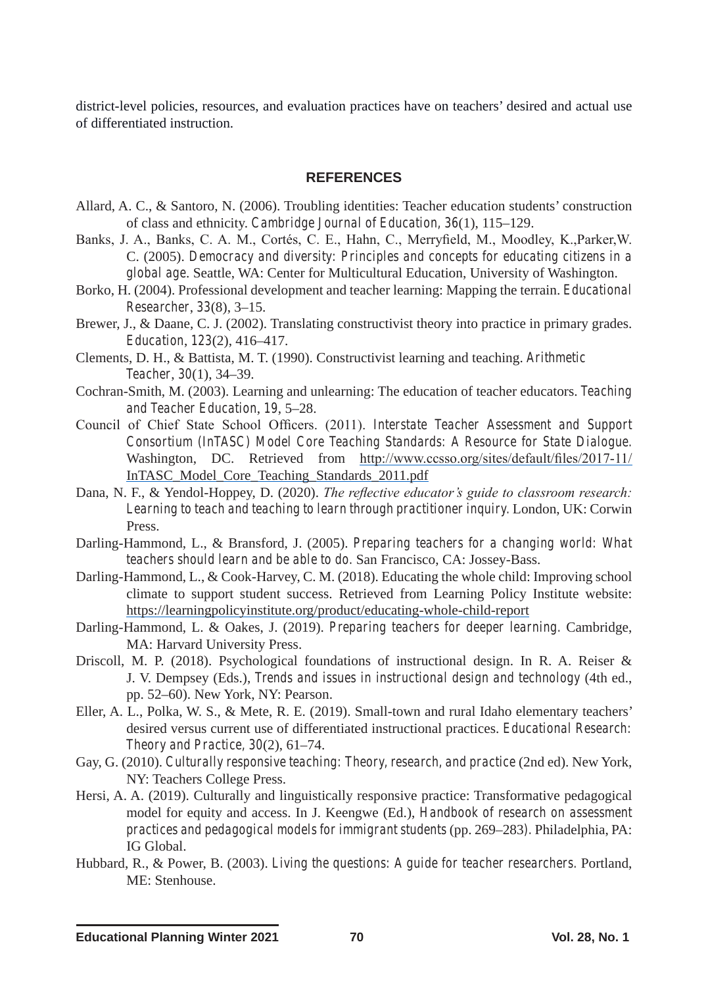district-level policies, resources, and evaluation practices have on teachers' desired and actual use of differentiated instruction.

#### **REFERENCES**

- Allard, A. C., & Santoro, N. (2006). Troubling identities: Teacher education students' construction of class and ethnicity. *Cambridge Journal of Education, 36*(1), 115–129.
- Banks, J. A., Banks, C. A. M., Cortés, C. E., Hahn, C., Merryfield, M., Moodley, K.,Parker,W. C. (2005). *Democracy and diversity: Principles and concepts for educating citizens in a global age*. Seattle, WA: Center for Multicultural Education, University of Washington.
- Borko, H. (2004). Professional development and teacher learning: Mapping the terrain. *Educational Researcher*, *33*(8), 3–15.
- Brewer, J., & Daane, C. J. (2002). Translating constructivist theory into practice in primary grades. *Education*, *123*(2), 416–417.
- Clements, D. H., & Battista, M. T. (1990). Constructivist learning and teaching. *Arithmetic Teacher*, *30*(1), 34–39.
- Cochran-Smith, M. (2003). Learning and unlearning: The education of teacher educators. *Teaching and Teacher Education*, *19*, 5–28.
- Council of Chief State School Officers. (2011). *Interstate Teacher Assessment and Support Consortium (InTASC) Model Core Teaching Standards: A Resource for State Dialogue.*  Washington, DC. Retrieved from http://www.ccsso.org/sites/default/files/2017-11/ InTASC\_Model\_Core\_Teaching\_Standards\_2011.pdf
- Dana, N. F., & Yendol-Hoppey, D. (2020). *The reflective educator's guide to classroom research: Learning to teach and teaching to learn through practitioner inquiry.* London, UK: Corwin Press.
- Darling-Hammond, L., & Bransford, J. (2005). *Preparing teachers for a changing world: What teachers should learn and be able to do.* San Francisco, CA: Jossey-Bass.
- Darling-Hammond, L., & Cook-Harvey, C. M. (2018). Educating the whole child: Improving school climate to support student success. Retrieved from Learning Policy Institute website: https://learningpolicyinstitute.org/product/educating-whole-child-report
- Darling-Hammond, L. & Oakes, J. (2019). *Preparing teachers for deeper learning.* Cambridge, MA: Harvard University Press.
- Driscoll, M. P. (2018). Psychological foundations of instructional design. In R. A. Reiser & J. V. Dempsey (Eds.), *Trends and issues in instructional design and technology* (4th ed., pp. 52–60). New York, NY: Pearson.
- Eller, A. L., Polka, W. S., & Mete, R. E. (2019). Small-town and rural Idaho elementary teachers' desired versus current use of differentiated instructional practices. *Educational Research: Theory and Practice, 30*(2), 61–74.
- Gay, G. (2010). *Culturally responsive teaching: Theory, research, and practice* (2nd ed). New York, NY: Teachers College Press.
- Hersi, A. A. (2019). Culturally and linguistically responsive practice: Transformative pedagogical model for equity and access. In J. Keengwe (Ed.), *Handbook of research on assessment practices and pedagogical models for immigrant students* (pp. 269–283*).* Philadelphia, PA: IG Global.
- Hubbard, R., & Power, B. (2003). *Living the questions: A guide for teacher researchers.* Portland, ME: Stenhouse.